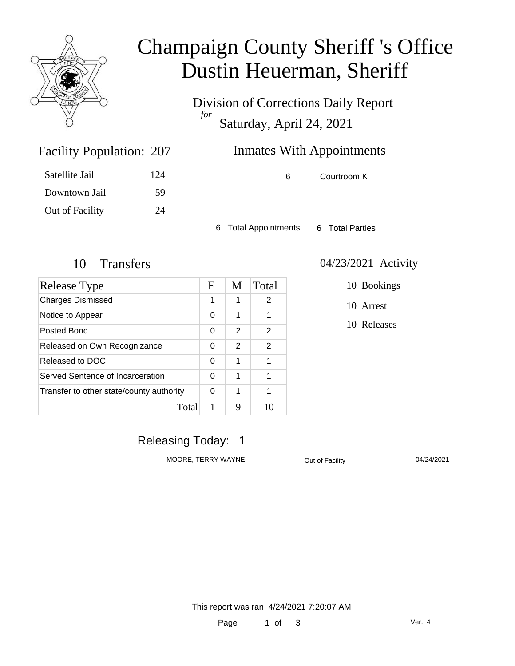

# Champaign County Sheriff 's Office Dustin Heuerman, Sheriff

Division of Corrections Daily Report *for* Saturday, April 24, 2021

### Inmates With Appointments

Satellite Jail 124 Downtown Jail 59 Out of Facility 24

Facility Population: 207

6 Courtroom K

6 Total Appointments 6 Total Parties

| Release Type                             | $\mathbf F$ | M | Total         |
|------------------------------------------|-------------|---|---------------|
| <b>Charges Dismissed</b>                 | 1           | 1 | 2             |
| Notice to Appear                         | 0           | 1 | 1             |
| Posted Bond                              | 0           | 2 | $\mathcal{P}$ |
| Released on Own Recognizance             | 0           | 2 | 2             |
| Released to DOC                          | 0           | 1 |               |
| Served Sentence of Incarceration         | 0           | 1 | 1             |
| Transfer to other state/county authority | 0           | 1 | 1             |
| Total                                    |             | Q |               |

#### 10 Transfers 04/23/2021 Activity

10 Bookings

10 Arrest

10 Releases

### Releasing Today: 1

MOORE, TERRY WAYNE **Out of Facility** 04/24/2021

This report was ran 4/24/2021 7:20:07 AM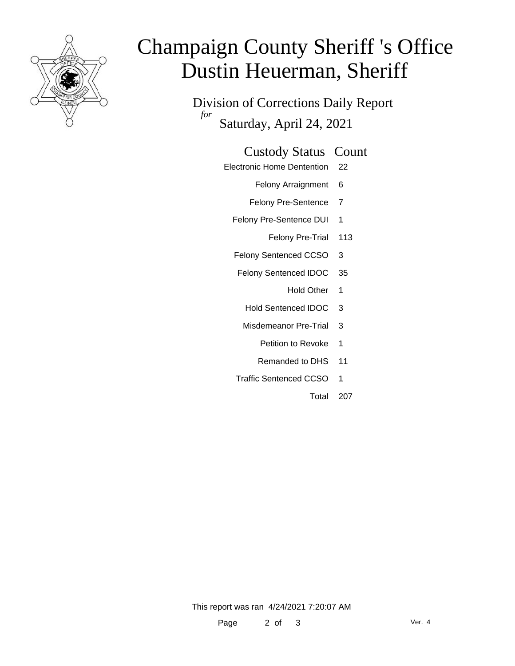

# Champaign County Sheriff 's Office Dustin Heuerman, Sheriff

Division of Corrections Daily Report *for* Saturday, April 24, 2021

#### Custody Status Count

- Electronic Home Dentention 22
	- Felony Arraignment 6
	- Felony Pre-Sentence 7
	- Felony Pre-Sentence DUI 1
		- Felony Pre-Trial 113
	- Felony Sentenced CCSO 3
	- Felony Sentenced IDOC 35
		- Hold Other 1
		- Hold Sentenced IDOC 3
	- Misdemeanor Pre-Trial 3
		- Petition to Revoke 1
		- Remanded to DHS 11
	- Traffic Sentenced CCSO 1
		- Total 207

This report was ran 4/24/2021 7:20:07 AM